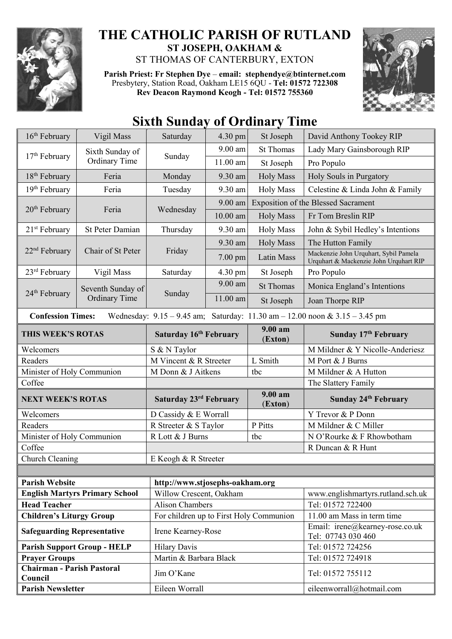

## **THE CATHOLIC PARISH OF RUTLAND ST JOSEPH, OAKHAM &**  ST THOMAS OF CANTERBURY, EXTON

**Parish Priest: Fr Stephen Dye** – **[email: stephendye@btinternet.com](mailto:email:%20%20stephendye@btinternet.com)** Presbytery, Station Road, Oakham LE15 6QU - **Tel: 01572 722308 Rev Deacon Raymond Keogh - Tel: 01572 755360**



## **Sixth Sunday of Ordinary Time**

| 16 <sup>th</sup> February                    | Vigil Mass                                | Saturday                                | 4.30 pm    | St Joseph                      | David Anthony Tookey RIP                                                            |
|----------------------------------------------|-------------------------------------------|-----------------------------------------|------------|--------------------------------|-------------------------------------------------------------------------------------|
| $17th$ February                              | Sixth Sunday of<br><b>Ordinary Time</b>   | Sunday                                  | 9.00 am    | <b>St Thomas</b>               | Lady Mary Gainsborough RIP                                                          |
|                                              |                                           |                                         | 11.00 am   | St Joseph                      | Pro Populo                                                                          |
| 18 <sup>th</sup> February                    | Feria                                     | Monday                                  | 9.30 am    | <b>Holy Mass</b>               | Holy Souls in Purgatory                                                             |
| $19th$ February                              | Feria                                     | Tuesday                                 | 9.30 am    | <b>Holy Mass</b>               | Celestine & Linda John & Family                                                     |
|                                              | Feria                                     | Wednesday                               | 9.00 am    |                                | <b>Exposition of the Blessed Sacrament</b>                                          |
| $20th$ February                              |                                           |                                         | $10.00$ am | <b>Holy Mass</b>               | Fr Tom Breslin RIP                                                                  |
| 21 <sup>st</sup> February                    | <b>St Peter Damian</b>                    | Thursday                                | 9.30 am    | <b>Holy Mass</b>               | John & Sybil Hedley's Intentions                                                    |
| 22 <sup>nd</sup> February                    | Chair of St Peter                         | Friday                                  | 9.30 am    | <b>Holy Mass</b>               | The Hutton Family                                                                   |
|                                              |                                           |                                         | $7.00$ pm  | Latin Mass                     | Mackenzie John Urquhart, Sybil Pamela<br>Urquhart & Mackenzie John Urquhart RIP     |
| 23 <sup>rd</sup> February                    | Vigil Mass                                | Saturday                                | 4.30 pm    | St Joseph                      | Pro Populo                                                                          |
| 24 <sup>th</sup> February                    | Seventh Sunday of<br><b>Ordinary Time</b> | Sunday                                  | 9.00 am    | <b>St Thomas</b>               | Monica England's Intentions                                                         |
|                                              |                                           |                                         | $11.00$ am | St Joseph                      | Joan Thorpe RIP                                                                     |
| <b>Confession Times:</b>                     |                                           |                                         |            |                                | Wednesday: $9.15 - 9.45$ am; Saturday: $11.30$ am $- 12.00$ noon & $3.15 - 3.45$ pm |
| THIS WEEK'S ROTAS                            |                                           | Saturday 16th February                  |            | 9.00 a <sub>m</sub><br>(Exton) | Sunday 17 <sup>th</sup> February                                                    |
| Welcomers                                    |                                           | S & N Taylor                            |            |                                | M Mildner & Y Nicolle-Anderiesz                                                     |
| Readers                                      |                                           | M Vincent & R Streeter                  |            | L Smith                        | M Port & J Burns                                                                    |
| Minister of Holy Communion                   |                                           | M Donn & J Aitkens                      |            | tbc                            | M Mildner & A Hutton                                                                |
| Coffee                                       |                                           |                                         |            |                                | The Slattery Family                                                                 |
| <b>NEXT WEEK'S ROTAS</b>                     |                                           | Saturday 23rd February                  |            | 9.00 am<br>(Exton)             | Sunday 24th February                                                                |
| Welcomers                                    |                                           | D Cassidy & E Worrall                   |            |                                | Y Trevor & P Donn                                                                   |
| Readers                                      |                                           | R Streeter & S Taylor                   |            | P Pitts                        | M Mildner & C Miller                                                                |
| Minister of Holy Communion                   |                                           | R Lott & J Burns                        |            | tbc                            | N O'Rourke & F Rhowbotham                                                           |
| Coffee                                       |                                           |                                         |            |                                | R Duncan & R Hunt                                                                   |
| Church Cleaning                              |                                           | E Keogh & R Streeter                    |            |                                |                                                                                     |
|                                              |                                           |                                         |            |                                |                                                                                     |
| <b>Parish Website</b>                        |                                           | http://www.stjosephs-oakham.org         |            |                                |                                                                                     |
|                                              | <b>English Martyrs Primary School</b>     | Willow Crescent, Oakham                 |            |                                | www.englishmartyrs.rutland.sch.uk                                                   |
| <b>Head Teacher</b>                          |                                           | <b>Alison Chambers</b>                  |            |                                | Tel: 01572 722400                                                                   |
| <b>Children's Liturgy Group</b>              |                                           | For children up to First Holy Communion |            |                                | 11.00 am Mass in term time                                                          |
| <b>Safeguarding Representative</b>           |                                           | Irene Kearney-Rose                      |            |                                | Email: irene@kearney-rose.co.uk<br>Tel: 07743 030 460                               |
| <b>Parish Support Group - HELP</b>           |                                           | <b>Hilary Davis</b>                     |            |                                | Tel: 01572 724256                                                                   |
| <b>Prayer Groups</b>                         |                                           | Martin & Barbara Black                  |            |                                | Tel: 01572 724918                                                                   |
| <b>Chairman - Parish Pastoral</b><br>Council |                                           | Jim O'Kane                              |            |                                | Tel: 01572 755112                                                                   |
| <b>Parish Newsletter</b>                     |                                           | Eileen Worrall                          |            |                                | eileenworrall@hotmail.com                                                           |